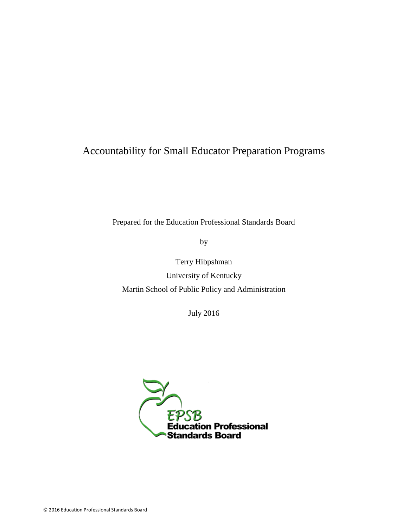# Accountability for Small Educator Preparation Programs

Prepared for the Education Professional Standards Board

by

Terry Hibpshman University of Kentucky Martin School of Public Policy and Administration

July 2016

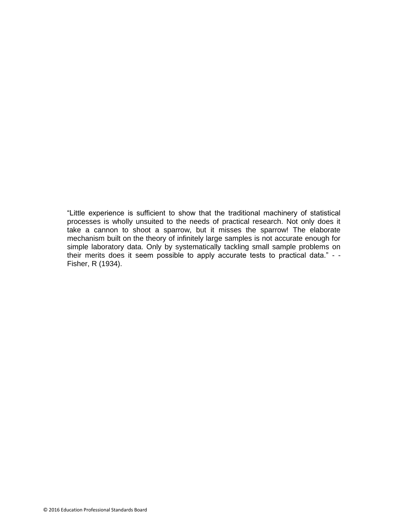"Little experience is sufficient to show that the traditional machinery of statistical processes is wholly unsuited to the needs of practical research. Not only does it take a cannon to shoot a sparrow, but it misses the sparrow! The elaborate mechanism built on the theory of infinitely large samples is not accurate enough for simple laboratory data. Only by systematically tackling small sample problems on their merits does it seem possible to apply accurate tests to practical data." - - Fisher, R (1934).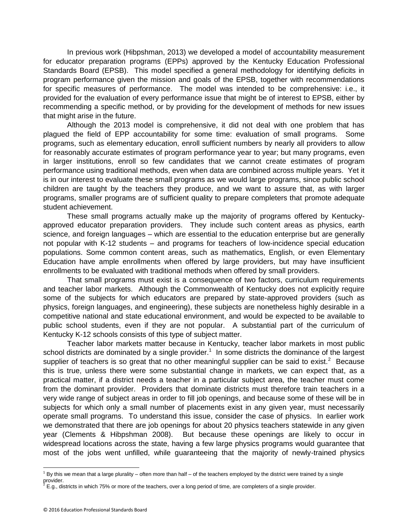In previous work (Hibpshman, 2013) we developed a model of accountability measurement for educator preparation programs (EPPs) approved by the Kentucky Education Professional Standards Board (EPSB). This model specified a general methodology for identifying deficits in program performance given the mission and goals of the EPSB, together with recommendations for specific measures of performance. The model was intended to be comprehensive: i.e., it provided for the evaluation of every performance issue that might be of interest to EPSB, either by recommending a specific method, or by providing for the development of methods for new issues that might arise in the future.

Although the 2013 model is comprehensive, it did not deal with one problem that has plagued the field of EPP accountability for some time: evaluation of small programs. Some programs, such as elementary education, enroll sufficient numbers by nearly all providers to allow for reasonably accurate estimates of program performance year to year; but many programs, even in larger institutions, enroll so few candidates that we cannot create estimates of program performance using traditional methods, even when data are combined across multiple years. Yet it is in our interest to evaluate these small programs as we would large programs, since public school children are taught by the teachers they produce, and we want to assure that, as with larger programs, smaller programs are of sufficient quality to prepare completers that promote adequate student achievement.

These small programs actually make up the majority of programs offered by Kentuckyapproved educator preparation providers. They include such content areas as physics, earth science, and foreign languages – which are essential to the education enterprise but are generally not popular with K-12 students – and programs for teachers of low-incidence special education populations. Some common content areas, such as mathematics, English, or even Elementary Education have ample enrollments when offered by large providers, but may have insufficient enrollments to be evaluated with traditional methods when offered by small providers.

That small programs must exist is a consequence of two factors, curriculum requirements and teacher labor markets. Although the Commonwealth of Kentucky does not explicitly require some of the subjects for which educators are prepared by state-approved providers (such as physics, foreign languages, and engineering), these subjects are nonetheless highly desirable in a competitive national and state educational environment, and would be expected to be available to public school students, even if they are not popular. A substantial part of the curriculum of Kentucky K-12 schools consists of this type of subject matter.

Teacher labor markets matter because in Kentucky, teacher labor markets in most public school districts are dominated by a single provider.<sup>1</sup> In some districts the dominance of the largest supplier of teachers is so great that no other meaningful supplier can be said to exist.<sup>2</sup> Because this is true, unless there were some substantial change in markets, we can expect that, as a practical matter, if a district needs a teacher in a particular subject area, the teacher must come from the dominant provider. Providers that dominate districts must therefore train teachers in a very wide range of subject areas in order to fill job openings, and because some of these will be in subjects for which only a small number of placements exist in any given year, must necessarily operate small programs. To understand this issue, consider the case of physics. In earlier work we demonstrated that there are job openings for about 20 physics teachers statewide in any given year (Clements & Hibpshman 2008). But because these openings are likely to occur in widespread locations across the state, having a few large physics programs would guarantee that most of the jobs went unfilled, while guaranteeing that the majority of newly-trained physics

 $\overline{a}$  $1$  By this we mean that a large plurality – often more than half – of the teachers employed by the district were trained by a single provider.

<sup>2</sup> E.g., districts in which 75% or more of the teachers, over a long period of time, are completers of a single provider.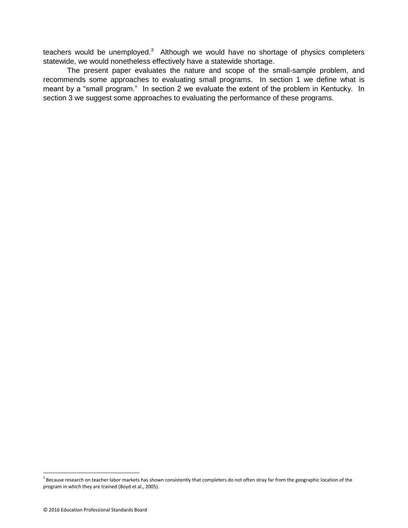teachers would be unemployed. $3$  Although we would have no shortage of physics completers statewide, we would nonetheless effectively have a statewide shortage.

The present paper evaluates the nature and scope of the small-sample problem, and recommends some approaches to evaluating small programs. In section 1 we define what is meant by a "small program." In section 2 we evaluate the extent of the problem in Kentucky. In section 3 we suggest some approaches to evaluating the performance of these programs.

 $3$  Because research on teacher labor markets has shown consistently that completers do not often stray far from the geographic location of the program in which they are trained (Boyd et al., 2005).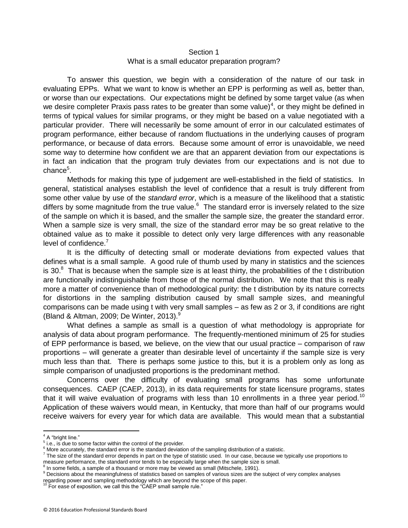## Section 1 What is a small educator preparation program?

To answer this question, we begin with a consideration of the nature of our task in evaluating EPPs. What we want to know is whether an EPP is performing as well as, better than, or worse than our expectations. Our expectations might be defined by some target value (as when we desire completer Praxis pass rates to be greater than some value)<sup>4</sup>, or they might be defined in terms of typical values for similar programs, or they might be based on a value negotiated with a particular provider. There will necessarily be some amount of error in our calculated estimates of program performance, either because of random fluctuations in the underlying causes of program performance, or because of data errors. Because some amount of error is unavoidable, we need some way to determine how confident we are that an apparent deviation from our expectations is in fact an indication that the program truly deviates from our expectations and is not due to chance<sup>5</sup>.

Methods for making this type of judgement are well-established in the field of statistics. In general, statistical analyses establish the level of confidence that a result is truly different from some other value by use of the *standard error*, which is a measure of the likelihood that a statistic differs by some magnitude from the true value. $6$  The standard error is inversely related to the size of the sample on which it is based, and the smaller the sample size, the greater the standard error. When a sample size is very small, the size of the standard error may be so great relative to the obtained value as to make it possible to detect only very large differences with any reasonable level of confidence.<sup>7</sup>

It is the difficulty of detecting small or moderate deviations from expected values that defines what is a small sample. A good rule of thumb used by many in statistics and the sciences is 30. $8$  That is because when the sample size is at least thirty, the probabilities of the t distribution are functionally indistinguishable from those of the normal distribution. We note that this is really more a matter of convenience than of methodological purity: the t distribution by its nature corrects for distortions in the sampling distribution caused by small sample sizes, and meaningful comparisons can be made using t with very small samples – as few as 2 or 3, if conditions are right (Bland & Altman, 2009; De Winter, 2013). $9$ 

What defines a sample as small is a question of what methodology is appropriate for analysis of data about program performance. The frequently-mentioned minimum of 25 for studies of EPP performance is based, we believe, on the view that our usual practice – comparison of raw proportions – will generate a greater than desirable level of uncertainty if the sample size is very much less than that. There is perhaps some justice to this, but it is a problem only as long as simple comparison of unadjusted proportions is the predominant method.

Concerns over the difficulty of evaluating small programs has some unfortunate consequences. CAEP (CAEP, 2013), in its data requirements for state licensure programs, states that it will waive evaluation of programs with less than 10 enrollments in a three year period.<sup>10</sup> Application of these waivers would mean, in Kentucky, that more than half of our programs would receive waivers for every year for which data are available. This would mean that a substantial

<sup>&</sup>lt;sup>4</sup> A "bright line."

<sup>&</sup>lt;sup>5</sup> i.e., is due to some factor within the control of the provider.

 $6$  More accurately, the standard error is the standard deviation of the sampling distribution of a statistic.

 $^7$  The size of the standard error depends in part on the type of statistic used. In our case, because we typically use proportions to measure performance, the standard error tends to be especially large when the sample size is small.<br><sup>8</sup> la seme fielde a semple of a the userd as more may be viewed as emall (Mitcabele, 1991).

In some fields, a sample of a thousand or more may be viewed as small (Mitschele, 1991).

<sup>9</sup> Decisions about the meaningfulness of statistics based on samples of various sizes are the subject of very complex analyses regarding power and sampling methodology which are beyond the scope of this paper.

For ease of exposition, we call this the "CAEP small sample rule."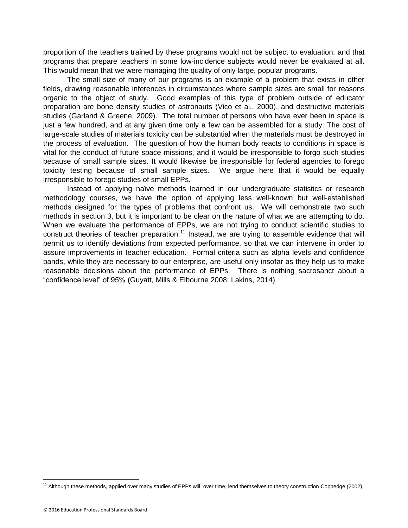proportion of the teachers trained by these programs would not be subject to evaluation, and that programs that prepare teachers in some low-incidence subjects would never be evaluated at all. This would mean that we were managing the quality of only large, popular programs.

The small size of many of our programs is an example of a problem that exists in other fields, drawing reasonable inferences in circumstances where sample sizes are small for reasons organic to the object of study. Good examples of this type of problem outside of educator preparation are bone density studies of astronauts (Vico et al., 2000), and destructive materials studies (Garland & Greene, 2009). The total number of persons who have ever been in space is just a few hundred, and at any given time only a few can be assembled for a study. The cost of large-scale studies of materials toxicity can be substantial when the materials must be destroyed in the process of evaluation. The question of how the human body reacts to conditions in space is vital for the conduct of future space missions, and it would be irresponsible to forgo such studies because of small sample sizes. It would likewise be irresponsible for federal agencies to forego toxicity testing because of small sample sizes. We argue here that it would be equally irresponsible to forego studies of small EPPs.

Instead of applying naïve methods learned in our undergraduate statistics or research methodology courses, we have the option of applying less well-known but well-established methods designed for the types of problems that confront us. We will demonstrate two such methods in section 3, but it is important to be clear on the nature of what we are attempting to do. When we evaluate the performance of EPPs, we are not trying to conduct scientific studies to construct theories of teacher preparation.<sup>11</sup> Instead, we are trying to assemble evidence that will permit us to identify deviations from expected performance, so that we can intervene in order to assure improvements in teacher education. Formal criteria such as alpha levels and confidence bands, while they are necessary to our enterprise, are useful only insofar as they help us to make reasonable decisions about the performance of EPPs. There is nothing sacrosanct about a "confidence level" of 95% (Guyatt, Mills & Elbourne 2008; Lakins, 2014).

<sup>&</sup>lt;sup>11</sup> Although these methods, applied over many studies of EPPs will, over time, lend themselves to theory construction Coppedge (2002).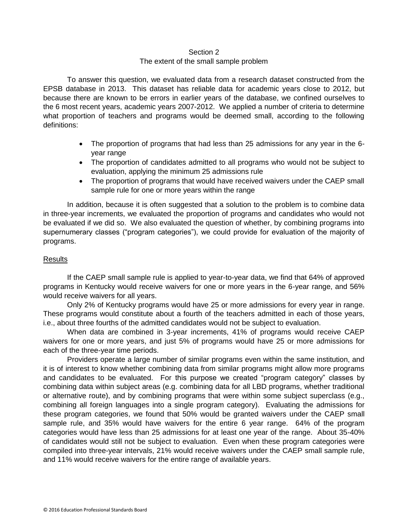## Section 2

# The extent of the small sample problem

To answer this question, we evaluated data from a research dataset constructed from the EPSB database in 2013. This dataset has reliable data for academic years close to 2012, but because there are known to be errors in earlier years of the database, we confined ourselves to the 6 most recent years, academic years 2007-2012. We applied a number of criteria to determine what proportion of teachers and programs would be deemed small, according to the following definitions:

- The proportion of programs that had less than 25 admissions for any year in the 6 year range
- The proportion of candidates admitted to all programs who would not be subject to evaluation, applying the minimum 25 admissions rule
- The proportion of programs that would have received waivers under the CAEP small sample rule for one or more years within the range

In addition, because it is often suggested that a solution to the problem is to combine data in three-year increments, we evaluated the proportion of programs and candidates who would not be evaluated if we did so. We also evaluated the question of whether, by combining programs into supernumerary classes ("program categories"), we could provide for evaluation of the majority of programs.

# Results

If the CAEP small sample rule is applied to year-to-year data, we find that 64% of approved programs in Kentucky would receive waivers for one or more years in the 6-year range, and 56% would receive waivers for all years.

Only 2% of Kentucky programs would have 25 or more admissions for every year in range. These programs would constitute about a fourth of the teachers admitted in each of those years, i.e., about three fourths of the admitted candidates would not be subject to evaluation.

When data are combined in 3-year increments, 41% of programs would receive CAEP waivers for one or more years, and just 5% of programs would have 25 or more admissions for each of the three-year time periods.

Providers operate a large number of similar programs even within the same institution, and it is of interest to know whether combining data from similar programs might allow more programs and candidates to be evaluated. For this purpose we created "program category" classes by combining data within subject areas (e.g. combining data for all LBD programs, whether traditional or alternative route), and by combining programs that were within some subject superclass (e.g., combining all foreign languages into a single program category). Evaluating the admissions for these program categories, we found that 50% would be granted waivers under the CAEP small sample rule, and 35% would have waivers for the entire 6 year range. 64% of the program categories would have less than 25 admissions for at least one year of the range. About 35-40% of candidates would still not be subject to evaluation. Even when these program categories were compiled into three-year intervals, 21% would receive waivers under the CAEP small sample rule, and 11% would receive waivers for the entire range of available years.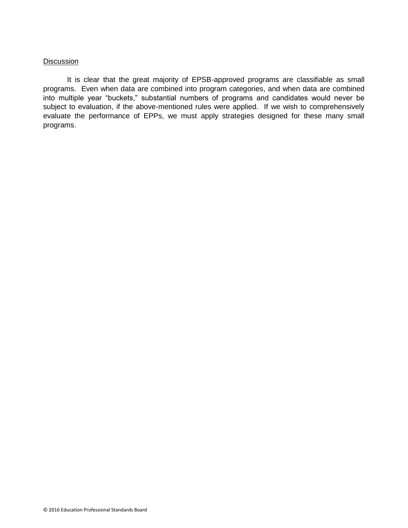## **Discussion**

It is clear that the great majority of EPSB-approved programs are classifiable as small programs. Even when data are combined into program categories, and when data are combined into multiple year "buckets," substantial numbers of programs and candidates would never be subject to evaluation, if the above-mentioned rules were applied. If we wish to comprehensively evaluate the performance of EPPs, we must apply strategies designed for these many small programs.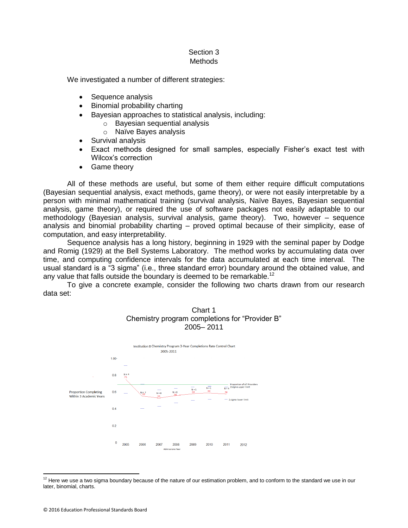# Section 3 **Methods**

We investigated a number of different strategies:

- Sequence analysis
- Binomial probability charting
- Bayesian approaches to statistical analysis, including:
	- o Bayesian sequential analysis
	- o Naïve Bayes analysis
- Survival analysis
- Exact methods designed for small samples, especially Fisher's exact test with Wilcox's correction
- Game theory

All of these methods are useful, but some of them either require difficult computations (Bayesian sequential analysis, exact methods, game theory), or were not easily interpretable by a person with minimal mathematical training (survival analysis, Naïve Bayes, Bayesian sequential analysis, game theory), or required the use of software packages not easily adaptable to our methodology (Bayesian analysis, survival analysis, game theory). Two, however – sequence analysis and binomial probability charting – proved optimal because of their simplicity, ease of computation, and easy interpretability.

Sequence analysis has a long history, beginning in 1929 with the seminal paper by Dodge and Romig (1929) at the Bell Systems Laboratory. The method works by accumulating data over time, and computing confidence intervals for the data accumulated at each time interval. The usual standard is a "3 sigma" (i.e., three standard error) boundary around the obtained value, and any value that falls outside the boundary is deemed to be remarkable.<sup>12</sup>

To give a concrete example, consider the following two charts drawn from our research data set:





 $12$  Here we use a two sigma boundary because of the nature of our estimation problem, and to conform to the standard we use in our later, binomial, charts.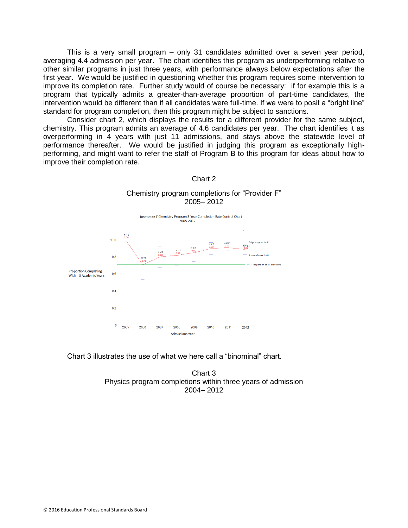This is a very small program – only 31 candidates admitted over a seven year period, averaging 4.4 admission per year. The chart identifies this program as underperforming relative to other similar programs in just three years, with performance always below expectations after the first year. We would be justified in questioning whether this program requires some intervention to improve its completion rate. Further study would of course be necessary: if for example this is a program that typically admits a greater-than-average proportion of part-time candidates, the intervention would be different than if all candidates were full-time. If we were to posit a "bright line" standard for program completion, then this program might be subject to sanctions.

Consider chart 2, which displays the results for a different provider for the same subject, chemistry. This program admits an average of 4.6 candidates per year. The chart identifies it as overperforming in 4 years with just 11 admissions, and stays above the statewide level of performance thereafter. We would be justified in judging this program as exceptionally highperforming, and might want to refer the staff of Program B to this program for ideas about how to improve their completion rate.



Chart 2

Chemistry program completions for "Provider F" 2005– 2012

Chart 3 illustrates the use of what we here call a "binominal" chart.

Chart 3 Physics program completions within three years of admission 2004– 2012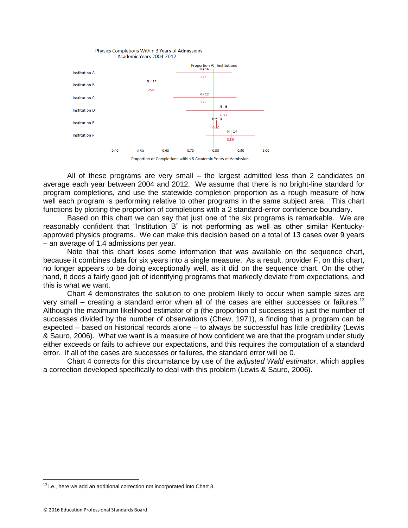

All of these programs are very small – the largest admitted less than 2 candidates on average each year between 2004 and 2012. We assume that there is no bright-line standard for program completions, and use the statewide completion proportion as a rough measure of how well each program is performing relative to other programs in the same subject area. This chart functions by plotting the proportion of completions with a 2 standard-error confidence boundary.

Based on this chart we can say that just one of the six programs is remarkable. We are reasonably confident that "Institution B" is not performing as well as other similar Kentuckyapproved physics programs. We can make this decision based on a total of 13 cases over 9 years – an average of 1.4 admissions per year.

Note that this chart loses some information that was available on the sequence chart, because it combines data for six years into a single measure. As a result, provider F, on this chart, no longer appears to be doing exceptionally well, as it did on the sequence chart. On the other hand, it does a fairly good job of identifying programs that markedly deviate from expectations, and this is what we want.

Chart 4 demonstrates the solution to one problem likely to occur when sample sizes are very small – creating a standard error when all of the cases are either successes or failures.<sup>13</sup> Although the maximum likelihood estimator of p (the proportion of successes) is just the number of successes divided by the number of observations (Chew, 1971), a finding that a program can be expected – based on historical records alone – to always be successful has little credibility (Lewis & Sauro, 2006). What we want is a measure of how confident we are that the program under study either exceeds or fails to achieve our expectations, and this requires the computation of a standard error. If all of the cases are successes or failures, the standard error will be 0.

Chart 4 corrects for this circumstance by use of the *adjusted Wald estimator*, which applies a correction developed specifically to deal with this problem (Lewis & Sauro, 2006).

 $13$  i.e., here we add an additional correction not incorporated into Chart 3.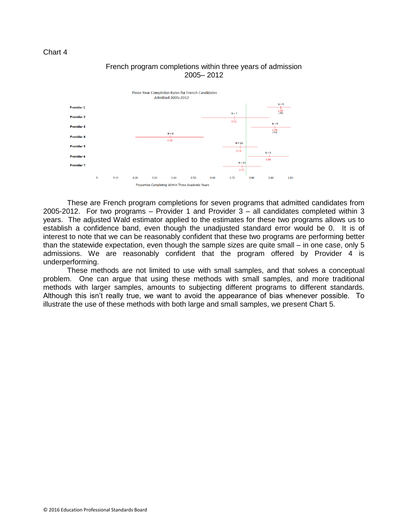



# French program completions within three years of admission 2005– 2012

These are French program completions for seven programs that admitted candidates from 2005-2012. For two programs – Provider 1 and Provider 3 – all candidates completed within 3 years. The adjusted Wald estimator applied to the estimates for these two programs allows us to establish a confidence band, even though the unadjusted standard error would be 0. It is of interest to note that we can be reasonably confident that these two programs are performing better than the statewide expectation, even though the sample sizes are quite small – in one case, only 5 admissions. We are reasonably confident that the program offered by Provider 4 is underperforming.

These methods are not limited to use with small samples, and that solves a conceptual problem. One can argue that using these methods with small samples, and more traditional methods with larger samples, amounts to subjecting different programs to different standards. Although this isn't really true, we want to avoid the appearance of bias whenever possible. To illustrate the use of these methods with both large and small samples, we present Chart 5.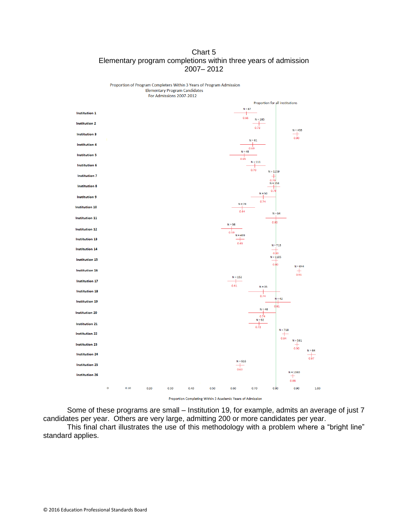# Chart 5 Elementary program completions within three years of admission 2007– 2012



Some of these programs are small – Institution 19, for example, admits an average of just 7 candidates per year. Others are very large, admitting 200 or more candidates per year.

This final chart illustrates the use of this methodology with a problem where a "bright line" standard applies.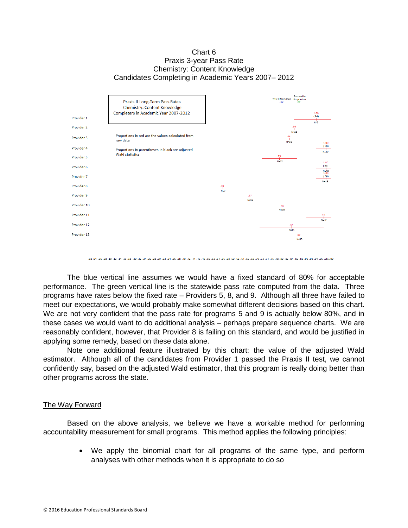#### Chart 6 Praxis 3-year Pass Rate Chemistry: Content Knowledge Candidates Completing in Academic Years 2007– 2012



The blue vertical line assumes we would have a fixed standard of 80% for acceptable performance. The green vertical line is the statewide pass rate computed from the data. Three programs have rates below the fixed rate – Providers 5, 8, and 9. Although all three have failed to meet our expectations, we would probably make somewhat different decisions based on this chart. We are not very confident that the pass rate for programs 5 and 9 is actually below 80%, and in these cases we would want to do additional analysis – perhaps prepare sequence charts. We are reasonably confident, however, that Provider 8 is failing on this standard, and would be justified in applying some remedy, based on these data alone.

Note one additional feature illustrated by this chart: the value of the adjusted Wald estimator. Although all of the candidates from Provider 1 passed the Praxis II test, we cannot confidently say, based on the adjusted Wald estimator, that this program is really doing better than other programs across the state.

#### The Way Forward

Based on the above analysis, we believe we have a workable method for performing accountability measurement for small programs. This method applies the following principles:

> We apply the binomial chart for all programs of the same type, and perform analyses with other methods when it is appropriate to do so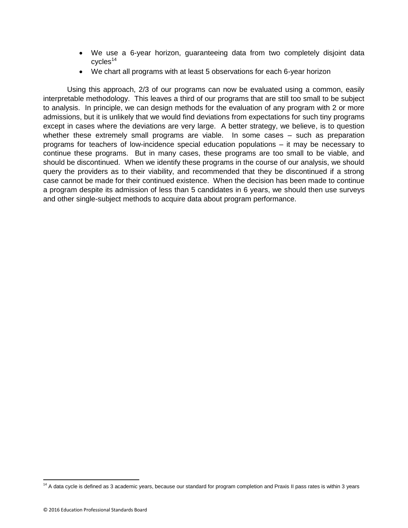- We use a 6-year horizon, guaranteeing data from two completely disjoint data  $cycles<sup>14</sup>$
- We chart all programs with at least 5 observations for each 6-year horizon

Using this approach, 2/3 of our programs can now be evaluated using a common, easily interpretable methodology. This leaves a third of our programs that are still too small to be subject to analysis. In principle, we can design methods for the evaluation of any program with 2 or more admissions, but it is unlikely that we would find deviations from expectations for such tiny programs except in cases where the deviations are very large. A better strategy, we believe, is to question whether these extremely small programs are viable. In some cases – such as preparation programs for teachers of low-incidence special education populations – it may be necessary to continue these programs. But in many cases, these programs are too small to be viable, and should be discontinued. When we identify these programs in the course of our analysis, we should query the providers as to their viability, and recommended that they be discontinued if a strong case cannot be made for their continued existence. When the decision has been made to continue a program despite its admission of less than 5 candidates in 6 years, we should then use surveys and other single-subject methods to acquire data about program performance.

 $14$  A data cycle is defined as 3 academic years, because our standard for program completion and Praxis II pass rates is within 3 years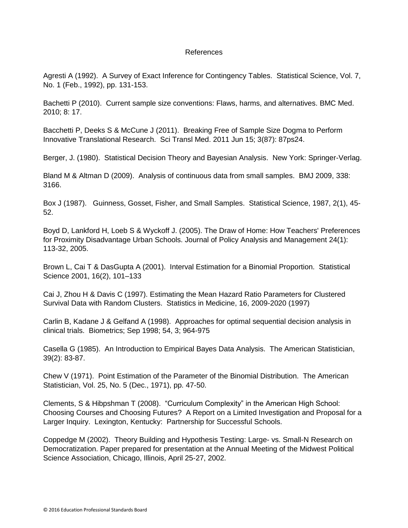## References

Agresti A (1992). A Survey of Exact Inference for Contingency Tables. Statistical Science, Vol. 7, No. 1 (Feb., 1992), pp. 131-153.

Bachetti P (2010). Current sample size conventions: Flaws, harms, and alternatives. BMC Med. 2010; 8: 17.

Bacchetti P, Deeks S & McCune J (2011). Breaking Free of Sample Size Dogma to Perform Innovative Translational Research. Sci Transl Med. 2011 Jun 15; 3(87): 87ps24.

Berger, J. (1980). Statistical Decision Theory and Bayesian Analysis. New York: Springer-Verlag.

Bland M & Altman D (2009). Analysis of continuous data from small samples. BMJ 2009, 338: 3166.

Box J (1987). Guinness, Gosset, Fisher, and Small Samples. Statistical Science, 1987, 2(1), 45- 52.

Boyd D, Lankford H, Loeb S & Wyckoff J. (2005). The Draw of Home: How Teachers' Preferences for Proximity Disadvantage Urban Schools. Journal of Policy Analysis and Management 24(1): 113-32, 2005.

Brown L, Cai T & DasGupta A (2001). Interval Estimation for a Binomial Proportion. Statistical Science 2001, 16(2), 101–133

Cai J, Zhou H & Davis C (1997). Estimating the Mean Hazard Ratio Parameters for Clustered Survival Data with Random Clusters. Statistics in Medicine, 16, 2009-2020 (1997)

Carlin B, Kadane J & Gelfand A (1998). Approaches for optimal sequential decision analysis in clinical trials. Biometrics; Sep 1998; 54, 3; 964-975

Casella G (1985). An Introduction to Empirical Bayes Data Analysis. The American Statistician, 39(2): 83-87.

Chew V (1971). Point Estimation of the Parameter of the Binomial Distribution. The American Statistician, Vol. 25, No. 5 (Dec., 1971), pp. 47-50.

Clements, S & Hibpshman T (2008). "Curriculum Complexity" in the American High School: Choosing Courses and Choosing Futures? A Report on a Limited Investigation and Proposal for a Larger Inquiry. Lexington, Kentucky: Partnership for Successful Schools.

Coppedge M (2002). Theory Building and Hypothesis Testing: Large- vs. Small-N Research on Democratization. Paper prepared for presentation at the Annual Meeting of the Midwest Political Science Association, Chicago, Illinois, April 25-27, 2002.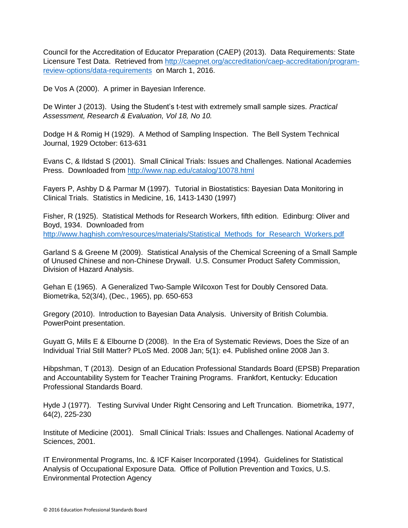Council for the Accreditation of Educator Preparation (CAEP) (2013). Data Requirements: State Licensure Test Data. Retrieved from [http://caepnet.org/accreditation/caep-accreditation/program](http://caepnet.org/accreditation/caep-accreditation/program-review-options/data-requirements)[review-options/data-requirements](http://caepnet.org/accreditation/caep-accreditation/program-review-options/data-requirements) on March 1, 2016.

De Vos A (2000). A primer in Bayesian Inference.

De Winter J (2013). Using the Student's t-test with extremely small sample sizes. *Practical Assessment, Research & Evaluation, Vol 18, No 10.*

Dodge H & Romig H (1929). A Method of Sampling Inspection. The Bell System Technical Journal, 1929 October: 613-631

Evans C, & Ildstad S (2001). Small Clinical Trials: Issues and Challenges. National Academies Press. Downloaded from<http://www.nap.edu/catalog/10078.html>

Fayers P, Ashby D & Parmar M (1997). Tutorial in Biostatistics: Bayesian Data Monitoring in Clinical Trials. Statistics in Medicine, 16, 1413-1430 (1997)

Fisher, R (1925). Statistical Methods for Research Workers, fifth edition. Edinburg: Oliver and Boyd, 1934. Downloaded from [http://www.haghish.com/resources/materials/Statistical\\_Methods\\_for\\_Research\\_Workers.pdf](http://www.haghish.com/resources/materials/Statistical_Methods_for_Research_Workers.pdf)

Garland S & Greene M (2009). Statistical Analysis of the Chemical Screening of a Small Sample of Unused Chinese and non-Chinese Drywall. U.S. Consumer Product Safety Commission, Division of Hazard Analysis.

Gehan E (1965). A Generalized Two-Sample Wilcoxon Test for Doubly Censored Data. Biometrika, 52(3/4), (Dec., 1965), pp. 650-653

Gregory (2010). Introduction to Bayesian Data Analysis. University of British Columbia. PowerPoint presentation.

Guyatt G, Mills E & Elbourne D (2008). In the Era of Systematic Reviews, Does the Size of an Individual Trial Still Matter? PLoS Med. 2008 Jan; 5(1): e4. Published online 2008 Jan 3.

Hibpshman, T (2013). Design of an Education Professional Standards Board (EPSB) Preparation and Accountability System for Teacher Training Programs. Frankfort, Kentucky: Education Professional Standards Board.

Hyde J (1977). Testing Survival Under Right Censoring and Left Truncation. Biometrika, 1977, 64(2), 225-230

Institute of Medicine (2001). Small Clinical Trials: Issues and Challenges. National Academy of Sciences, 2001.

IT Environmental Programs, Inc. & ICF Kaiser Incorporated (1994). Guidelines for Statistical Analysis of Occupational Exposure Data. Office of Pollution Prevention and Toxics, U.S. Environmental Protection Agency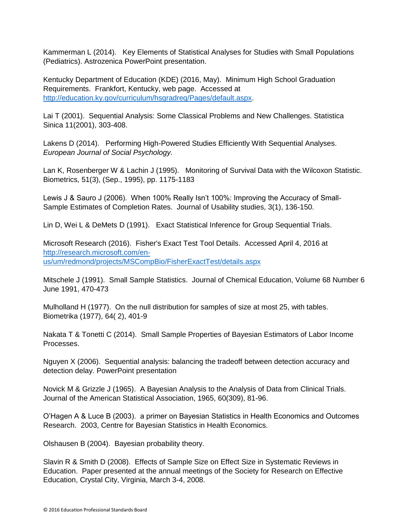Kammerman L (2014). Key Elements of Statistical Analyses for Studies with Small Populations (Pediatrics). Astrozenica PowerPoint presentation.

Kentucky Department of Education (KDE) (2016, May). Minimum High School Graduation Requirements. Frankfort, Kentucky, web page. Accessed at [http://education.ky.gov/curriculum/hsgradreq/Pages/default.aspx.](http://education.ky.gov/curriculum/hsgradreq/Pages/default.aspx)

Lai T (2001). Sequential Analysis: Some Classical Problems and New Challenges. Statistica Sinica 11(2001), 303-408.

Lakens D (2014). Performing High-Powered Studies Efficiently With Sequential Analyses. *European Journal of Social Psychology.*

Lan K, Rosenberger W & Lachin J (1995). Monitoring of Survival Data with the Wilcoxon Statistic. Biometrics, 51(3), (Sep., 1995), pp. 1175-1183

Lewis J & Sauro J (2006). When 100% Really Isn't 100%: Improving the Accuracy of Small-Sample Estimates of Completion Rates. Journal of Usability studies, 3(1), 136-150.

Lin D, Wei L & DeMets D (1991). Exact Statistical Inference for Group Sequential Trials.

Microsoft Research (2016). Fisher's Exact Test Tool Details. Accessed April 4, 2016 at [http://research.microsoft.com/en](http://research.microsoft.com/en-us/um/redmond/projects/MSCompBio/FisherExactTest/details.aspx)[us/um/redmond/projects/MSCompBio/FisherExactTest/details.aspx](http://research.microsoft.com/en-us/um/redmond/projects/MSCompBio/FisherExactTest/details.aspx)

Mitschele J (1991). Small Sample Statistics. Journal of Chemical Education, Volume 68 Number 6 June 1991, 470-473

Mulholland H (1977). On the null distribution for samples of size at most 25, with tables. Biometrika (1977), 64( 2), 401-9

Nakata T & Tonetti C (2014). Small Sample Properties of Bayesian Estimators of Labor Income Processes.

Nguyen X (2006). Sequential analysis: balancing the tradeoff between detection accuracy and detection delay. PowerPoint presentation

Novick M & Grizzle J (1965). A Bayesian Analysis to the Analysis of Data from Clinical Trials. Journal of the American Statistical Association, 1965, 60(309), 81-96.

O'Hagen A & Luce B (2003). a primer on Bayesian Statistics in Health Economics and Outcomes Research. 2003, Centre for Bayesian Statistics in Health Economics.

Olshausen B (2004). Bayesian probability theory.

Slavin R & Smith D (2008). Effects of Sample Size on Effect Size in Systematic Reviews in Education. Paper presented at the annual meetings of the Society for Research on Effective Education, Crystal City, Virginia, March 3-4, 2008.